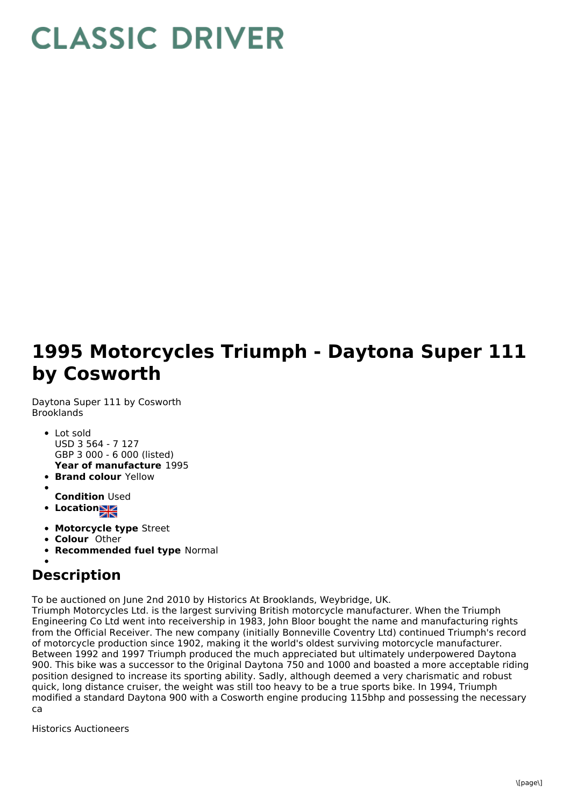## **CLASSIC DRIVER**

## **1995 Motorcycles Triumph - Daytona Super 111 by Cosworth**

Daytona Super 111 by Cosworth Brooklands

- **Year of manufacture** 1995 • Lot sold USD 3 564 - 7 127 GBP 3 000 - 6 000 (listed)
- **Brand colour** Yellow
- 
- **Condition** Used
- **Location**
- **Motorcycle type** Street
- **Colour** Other
- **Recommended fuel type** Normal

## **Description**

To be auctioned on June 2nd 2010 by Historics At Brooklands, Weybridge, UK.

Triumph Motorcycles Ltd. is the largest surviving British motorcycle manufacturer. When the Triumph Engineering Co Ltd went into receivership in 1983, John Bloor bought the name and manufacturing rights from the Official Receiver. The new company (initially Bonneville Coventry Ltd) continued Triumph's record of motorcycle production since 1902, making it the world's oldest surviving motorcycle manufacturer. Between 1992 and 1997 Triumph produced the much appreciated but ultimately underpowered Daytona 900. This bike was a successor to the 0riginal Daytona 750 and 1000 and boasted a more acceptable riding position designed to increase its sporting ability. Sadly, although deemed a very charismatic and robust quick, long distance cruiser, the weight was still too heavy to be a true sports bike. In 1994, Triumph modified a standard Daytona 900 with a Cosworth engine producing 115bhp and possessing the necessary ca

Historics Auctioneers